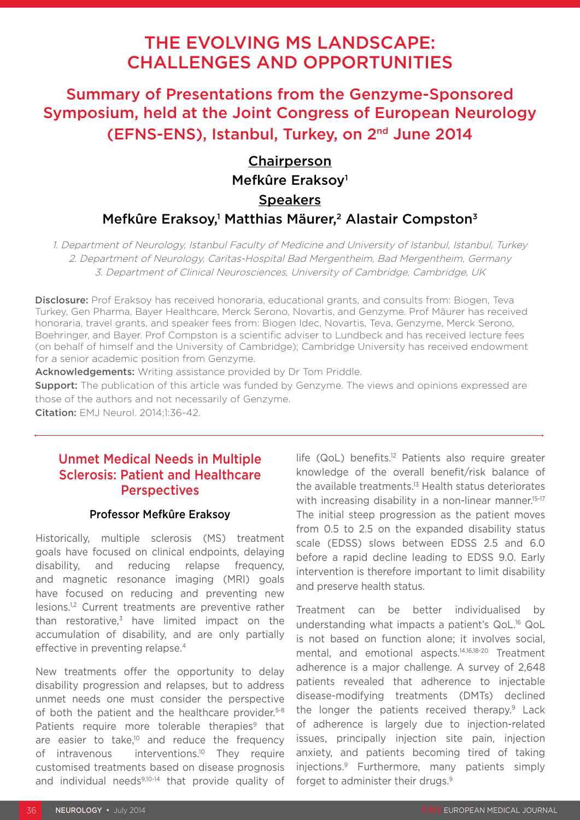# THE EVOLVING MS LANDSCAPE: CHALLENGES AND OPPORTUNITIES

Summary of Presentations from the Genzyme-Sponsored Symposium, held at the Joint Congress of European Neurology (EFNS-ENS), Istanbul, Turkey, on 2nd June 2014

## Chairperson Mefkûre Eraksoy1 **Speakers** Mefkûre Eraksoy,<sup>1</sup> Matthias Mäurer,<sup>2</sup> Alastair Compston<sup>3</sup>

1. Department of Neurology, Istanbul Faculty of Medicine and University of Istanbul, Istanbul, Turkey 2. Department of Neurology, Caritas-Hospital Bad Mergentheim, Bad Mergentheim, Germany 3. Department of Clinical Neurosciences, University of Cambridge, Cambridge, UK

Disclosure: Prof Eraksoy has received honoraria, educational grants, and consults from: Biogen, Teva Turkey, Gen Pharma, Bayer Healthcare, Merck Serono, Novartis, and Genzyme. Prof Mäurer has received honoraria, travel grants, and speaker fees from: Biogen Idec, Novartis, Teva, Genzyme, Merck Serono, Boehringer, and Bayer. Prof Compston is a scientific adviser to Lundbeck and has received lecture fees (on behalf of himself and the University of Cambridge); Cambridge University has received endowment for a senior academic position from Genzyme.

Acknowledgements: Writing assistance provided by Dr Tom Priddle.

Support: The publication of this article was funded by Genzyme. The views and opinions expressed are those of the authors and not necessarily of Genzyme.

Citation: EMJ Neurol. 2014;1:36-42.

### Unmet Medical Needs in Multiple Sclerosis: Patient and Healthcare **Perspectives**

### Professor Mefkûre Eraksoy

Historically, multiple sclerosis (MS) treatment goals have focused on clinical endpoints, delaying disability, and reducing relapse frequency, and magnetic resonance imaging (MRI) goals have focused on reducing and preventing new lesions.1,2 Current treatments are preventive rather than restorative, $3$  have limited impact on the accumulation of disability, and are only partially effective in preventing relapse.4

New treatments offer the opportunity to delay disability progression and relapses, but to address unmet needs one must consider the perspective of both the patient and the healthcare provider.<sup>5-8</sup> Patients require more tolerable therapies $9$  that are easier to take, $10$  and reduce the frequency of intravenous interventions.<sup>10</sup> They require customised treatments based on disease prognosis and individual needs<sup>9,10-14</sup> that provide quality of life (QoL) benefits.12 Patients also require greater knowledge of the overall benefit/risk balance of the available treatments.13 Health status deteriorates with increasing disability in a non-linear manner.<sup>15-17</sup> The initial steep progression as the patient moves from 0.5 to 2.5 on the expanded disability status scale (EDSS) slows between EDSS 2.5 and 6.0 before a rapid decline leading to EDSS 9.0. Early intervention is therefore important to limit disability and preserve health status.

Treatment can be better individualised by understanding what impacts a patient's QoL.16 QoL is not based on function alone; it involves social, mental, and emotional aspects.14,16,18-20 Treatment adherence is a major challenge. A survey of 2,648 patients revealed that adherence to injectable disease-modifying treatments (DMTs) declined the longer the patients received therapy.<sup>9</sup> Lack of adherence is largely due to injection-related issues, principally injection site pain, injection anxiety, and patients becoming tired of taking injections.9 Furthermore, many patients simply forget to administer their drugs.<sup>9</sup>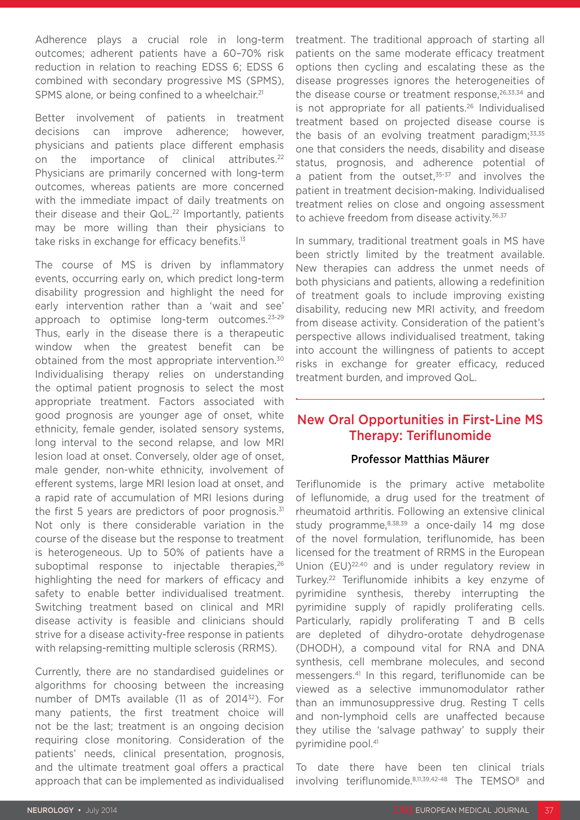Adherence plays a crucial role in long-term outcomes; adherent patients have a 60–70% risk reduction in relation to reaching EDSS 6; EDSS 6 combined with secondary progressive MS (SPMS), SPMS alone, or being confined to a wheelchair.<sup>21</sup>

Better involvement of patients in treatment decisions can improve adherence; however, physicians and patients place different emphasis on the importance of clinical attributes.<sup>22</sup> Physicians are primarily concerned with long-term outcomes, whereas patients are more concerned with the immediate impact of daily treatments on their disease and their QoL.<sup>22</sup> Importantly, patients may be more willing than their physicians to take risks in exchange for efficacy benefits.<sup>13</sup>

The course of MS is driven by inflammatory events, occurring early on, which predict long-term disability progression and highlight the need for early intervention rather than a 'wait and see' approach to optimise long-term outcomes.23-29 Thus, early in the disease there is a therapeutic window when the greatest benefit can be obtained from the most appropriate intervention.30 Individualising therapy relies on understanding the optimal patient prognosis to select the most appropriate treatment. Factors associated with good prognosis are younger age of onset, white ethnicity, female gender, isolated sensory systems, long interval to the second relapse, and low MRI lesion load at onset. Conversely, older age of onset, male gender, non-white ethnicity, involvement of efferent systems, large MRI lesion load at onset, and a rapid rate of accumulation of MRI lesions during the first 5 years are predictors of poor prognosis. $31$ Not only is there considerable variation in the course of the disease but the response to treatment is heterogeneous. Up to 50% of patients have a suboptimal response to injectable therapies,<sup>26</sup> highlighting the need for markers of efficacy and safety to enable better individualised treatment. Switching treatment based on clinical and MRI disease activity is feasible and clinicians should strive for a disease activity-free response in patients with relapsing-remitting multiple sclerosis (RRMS).

Currently, there are no standardised guidelines or algorithms for choosing between the increasing number of DMTs available (11 as of 2014<sup>32</sup>). For many patients, the first treatment choice will not be the last; treatment is an ongoing decision requiring close monitoring. Consideration of the patients' needs, clinical presentation, prognosis, and the ultimate treatment goal offers a practical approach that can be implemented as individualised treatment. The traditional approach of starting all patients on the same moderate efficacy treatment options then cycling and escalating these as the disease progresses ignores the heterogeneities of the disease course or treatment response, $26,33,34$  and is not appropriate for all patients.<sup>26</sup> Individualised treatment based on projected disease course is the basis of an evolving treatment paradigm; $33,35$ one that considers the needs, disability and disease status, prognosis, and adherence potential of a patient from the outset. $35-37$  and involves the patient in treatment decision-making. Individualised treatment relies on close and ongoing assessment to achieve freedom from disease activity.<sup>36,37</sup>

In summary, traditional treatment goals in MS have been strictly limited by the treatment available. New therapies can address the unmet needs of both physicians and patients, allowing a redefinition of treatment goals to include improving existing disability, reducing new MRI activity, and freedom from disease activity. Consideration of the patient's perspective allows individualised treatment, taking into account the willingness of patients to accept risks in exchange for greater efficacy, reduced treatment burden, and improved QoL.

## New Oral Opportunities in First-Line MS Therapy: Teriflunomide

### Professor Matthias Mäurer

Teriflunomide is the primary active metabolite of leflunomide, a drug used for the treatment of rheumatoid arthritis. Following an extensive clinical study programme, $8,38,39$  a once-daily 14 mg dose of the novel formulation, teriflunomide, has been licensed for the treatment of RRMS in the European Union (EU)<sup>22,40</sup> and is under regulatory review in Turkey.22 Teriflunomide inhibits a key enzyme of pyrimidine synthesis, thereby interrupting the pyrimidine supply of rapidly proliferating cells. Particularly, rapidly proliferating T and B cells are depleted of dihydro-orotate dehydrogenase (DHODH), a compound vital for RNA and DNA synthesis, cell membrane molecules, and second messengers.41 In this regard, teriflunomide can be viewed as a selective immunomodulator rather than an immunosuppressive drug. Resting T cells and non-lymphoid cells are unaffected because they utilise the 'salvage pathway' to supply their pyrimidine pool.41

To date there have been ten clinical trials involving teriflunomide.8,11,39,42-48 The TEMSO<sup>8</sup> and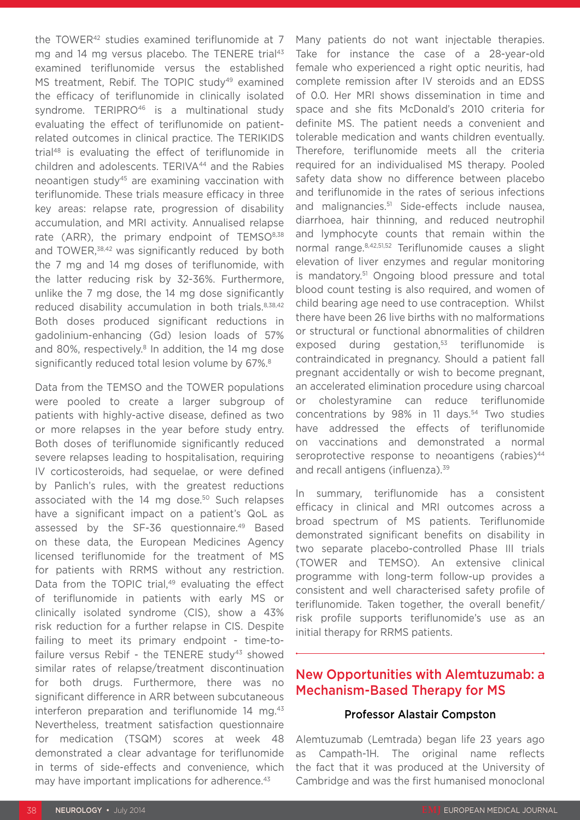the TOWER<sup>42</sup> studies examined teriflunomide at 7 mg and 14 mg versus placebo. The TENERE trial<sup>43</sup> examined teriflunomide versus the established MS treatment, Rebif. The TOPIC study<sup>49</sup> examined the efficacy of teriflunomide in clinically isolated syndrome. TERIPRO<sup>46</sup> is a multinational study evaluating the effect of teriflunomide on patientrelated outcomes in clinical practice. The TERIKIDS trial48 is evaluating the effect of teriflunomide in children and adolescents. TERIVA44 and the Rabies neoantigen study45 are examining vaccination with teriflunomide. These trials measure efficacy in three key areas: relapse rate, progression of disability accumulation, and MRI activity. Annualised relapse rate (ARR), the primary endpoint of TEMSO<sup>8,38</sup> and TOWER,<sup>38,42</sup> was significantly reduced by both the 7 mg and 14 mg doses of teriflunomide, with the latter reducing risk by 32-36%. Furthermore, unlike the 7 mg dose, the 14 mg dose significantly reduced disability accumulation in both trials.<sup>8,38,42</sup> Both doses produced significant reductions in gadolinium-enhancing (Gd) lesion loads of 57% and 80%, respectively.<sup>8</sup> In addition, the 14 mg dose significantly reduced total lesion volume by 67%.<sup>8</sup>

Data from the TEMSO and the TOWER populations were pooled to create a larger subgroup of patients with highly-active disease, defined as two or more relapses in the year before study entry. Both doses of teriflunomide significantly reduced severe relapses leading to hospitalisation, requiring IV corticosteroids, had sequelae, or were defined by Panlich's rules, with the greatest reductions associated with the 14 mg dose.<sup>50</sup> Such relapses have a significant impact on a patient's QoL as assessed by the SF-36 questionnaire.49 Based on these data, the European Medicines Agency licensed teriflunomide for the treatment of MS for patients with RRMS without any restriction. Data from the TOPIC trial,<sup>49</sup> evaluating the effect of teriflunomide in patients with early MS or clinically isolated syndrome (CIS), show a 43% risk reduction for a further relapse in CIS. Despite failing to meet its primary endpoint - time-tofailure versus Rebif - the TENERE study<sup>43</sup> showed similar rates of relapse/treatment discontinuation for both drugs. Furthermore, there was no significant difference in ARR between subcutaneous interferon preparation and teriflunomide  $14 \text{ mg}$ .<sup>43</sup> Nevertheless, treatment satisfaction questionnaire for medication (TSQM) scores at week 48 demonstrated a clear advantage for teriflunomide in terms of side-effects and convenience, which may have important implications for adherence.<sup>43</sup>

Many patients do not want injectable therapies. Take for instance the case of a 28-year-old female who experienced a right optic neuritis, had complete remission after IV steroids and an EDSS of 0.0. Her MRI shows dissemination in time and space and she fits McDonald's 2010 criteria for definite MS. The patient needs a convenient and tolerable medication and wants children eventually. Therefore, teriflunomide meets all the criteria required for an individualised MS therapy. Pooled safety data show no difference between placebo and teriflunomide in the rates of serious infections and malignancies.<sup>51</sup> Side-effects include nausea, diarrhoea, hair thinning, and reduced neutrophil and lymphocyte counts that remain within the normal range.8,42,51,52 Teriflunomide causes a slight elevation of liver enzymes and regular monitoring is mandatory.51 Ongoing blood pressure and total blood count testing is also required, and women of child bearing age need to use contraception. Whilst there have been 26 live births with no malformations or structural or functional abnormalities of children exposed during gestation,<sup>53</sup> teriflunomide is contraindicated in pregnancy. Should a patient fall pregnant accidentally or wish to become pregnant, an accelerated elimination procedure using charcoal or cholestyramine can reduce teriflunomide concentrations by 98% in 11 days.<sup>54</sup> Two studies have addressed the effects of teriflunomide on vaccinations and demonstrated a normal seroprotective response to neoantigens (rabies)<sup>44</sup> and recall antigens (influenza).<sup>39</sup>

In summary, teriflunomide has a consistent efficacy in clinical and MRI outcomes across a broad spectrum of MS patients. Teriflunomide demonstrated significant benefits on disability in two separate placebo-controlled Phase III trials (TOWER and TEMSO). An extensive clinical programme with long-term follow-up provides a consistent and well characterised safety profile of teriflunomide. Taken together, the overall benefit/ risk profile supports teriflunomide's use as an initial therapy for RRMS patients.

### New Opportunities with Alemtuzumab: a Mechanism-Based Therapy for MS

### Professor Alastair Compston

Alemtuzumab (Lemtrada) began life 23 years ago as Campath-1H. The original name reflects the fact that it was produced at the University of Cambridge and was the first humanised monoclonal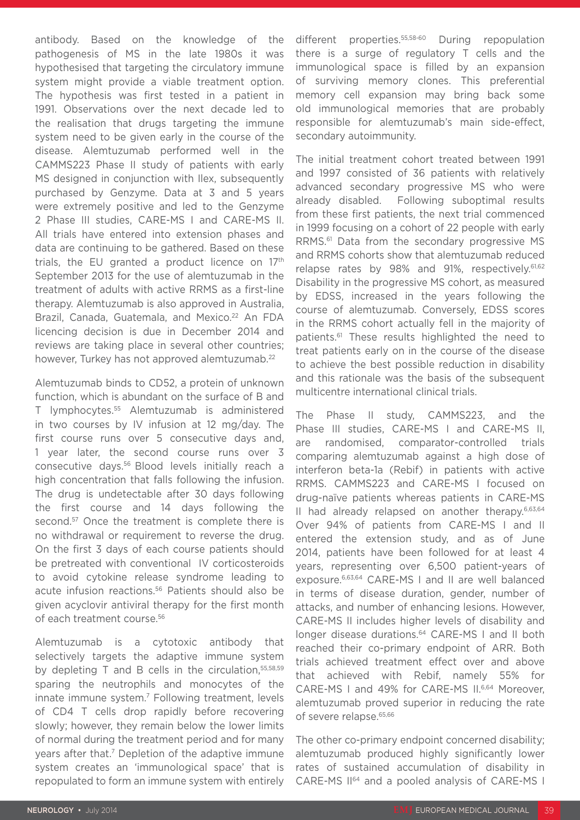antibody. Based on the knowledge of the pathogenesis of MS in the late 1980s it was hypothesised that targeting the circulatory immune system might provide a viable treatment option. The hypothesis was first tested in a patient in 1991. Observations over the next decade led to the realisation that drugs targeting the immune system need to be given early in the course of the disease. Alemtuzumab performed well in the CAMMS223 Phase II study of patients with early MS designed in conjunction with Ilex, subsequently purchased by Genzyme. Data at 3 and 5 years were extremely positive and led to the Genzyme 2 Phase III studies, CARE-MS I and CARE-MS II. All trials have entered into extension phases and data are continuing to be gathered. Based on these trials, the EU granted a product licence on 17<sup>th</sup> September 2013 for the use of alemtuzumab in the treatment of adults with active RRMS as a first-line therapy. Alemtuzumab is also approved in Australia, Brazil, Canada, Guatemala, and Mexico.<sup>22</sup> An FDA licencing decision is due in December 2014 and reviews are taking place in several other countries; however, Turkey has not approved alemtuzumab.<sup>22</sup>

Alemtuzumab binds to CD52, a protein of unknown function, which is abundant on the surface of B and T lymphocytes.55 Alemtuzumab is administered in two courses by IV infusion at 12 mg/day. The first course runs over 5 consecutive days and, 1 year later, the second course runs over 3 consecutive days.56 Blood levels initially reach a high concentration that falls following the infusion. The drug is undetectable after 30 days following the first course and 14 days following the second.<sup>57</sup> Once the treatment is complete there is no withdrawal or requirement to reverse the drug. On the first 3 days of each course patients should be pretreated with conventional IV corticosteroids to avoid cytokine release syndrome leading to acute infusion reactions.<sup>56</sup> Patients should also be given acyclovir antiviral therapy for the first month of each treatment course.56

Alemtuzumab is a cytotoxic antibody that selectively targets the adaptive immune system by depleting T and B cells in the circulation, 55,58,59 sparing the neutrophils and monocytes of the innate immune system.7 Following treatment, levels of CD4 T cells drop rapidly before recovering slowly; however, they remain below the lower limits of normal during the treatment period and for many years after that.<sup>7</sup> Depletion of the adaptive immune system creates an 'immunological space' that is repopulated to form an immune system with entirely different properties.<sup>55,58-60</sup> During repopulation there is a surge of regulatory T cells and the immunological space is filled by an expansion of surviving memory clones. This preferential memory cell expansion may bring back some old immunological memories that are probably responsible for alemtuzumab's main side-effect, secondary autoimmunity.

The initial treatment cohort treated between 1991 and 1997 consisted of 36 patients with relatively advanced secondary progressive MS who were already disabled. Following suboptimal results from these first patients, the next trial commenced in 1999 focusing on a cohort of 22 people with early RRMS.61 Data from the secondary progressive MS and RRMS cohorts show that alemtuzumab reduced relapse rates by 98% and 91%, respectively.<sup>61,62</sup> Disability in the progressive MS cohort, as measured by EDSS, increased in the years following the course of alemtuzumab. Conversely, EDSS scores in the RRMS cohort actually fell in the majority of patients.61 These results highlighted the need to treat patients early on in the course of the disease to achieve the best possible reduction in disability and this rationale was the basis of the subsequent multicentre international clinical trials.

The Phase II study, CAMMS223, and the Phase III studies, CARE-MS I and CARE-MS II, are randomised, comparator-controlled trials comparing alemtuzumab against a high dose of interferon beta-1a (Rebif) in patients with active RRMS. CAMMS223 and CARE-MS I focused on drug-naïve patients whereas patients in CARE-MS II had already relapsed on another therapy.<sup>6,63,64</sup> Over 94% of patients from CARE-MS I and II entered the extension study, and as of June 2014, patients have been followed for at least 4 years, representing over 6,500 patient-years of exposure.6,63,64 CARE-MS I and II are well balanced in terms of disease duration, gender, number of attacks, and number of enhancing lesions. However, CARE-MS II includes higher levels of disability and longer disease durations.<sup>64</sup> CARE-MS I and II both reached their co-primary endpoint of ARR. Both trials achieved treatment effect over and above that achieved with Rebif, namely 55% for CARE-MS I and 49% for CARE-MS II.6,64 Moreover, alemtuzumab proved superior in reducing the rate of severe relapse.<sup>65,66</sup>

The other co-primary endpoint concerned disability; alemtuzumab produced highly significantly lower rates of sustained accumulation of disability in CARE-MS II64 and a pooled analysis of CARE-MS I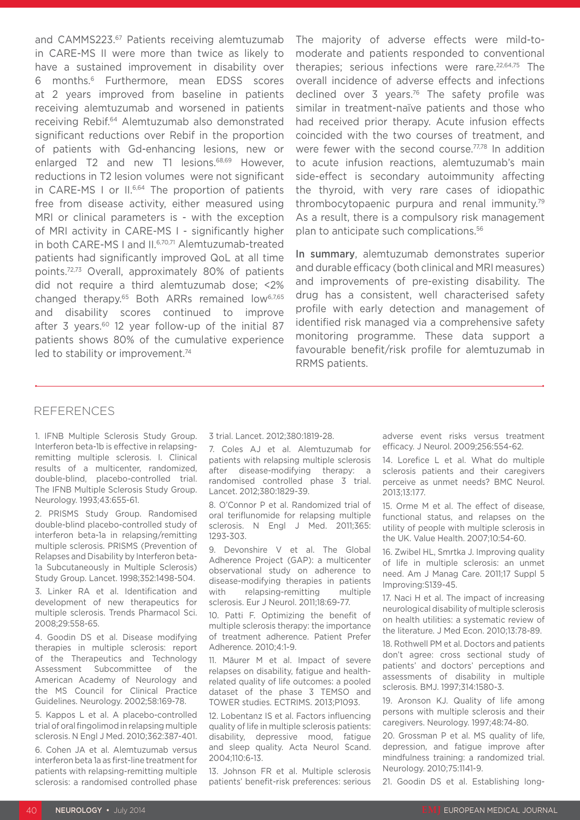and CAMMS223.<sup>67</sup> Patients receiving alemtuzumab in CARE-MS II were more than twice as likely to have a sustained improvement in disability over 6 months.6 Furthermore, mean EDSS scores at 2 years improved from baseline in patients receiving alemtuzumab and worsened in patients receiving Rebif.64 Alemtuzumab also demonstrated significant reductions over Rebif in the proportion of patients with Gd-enhancing lesions, new or enlarged T2 and new T1 lesions.<sup>68,69</sup> However, reductions in T2 lesion volumes were not significant in CARE-MS I or II.<sup>6,64</sup> The proportion of patients free from disease activity, either measured using MRI or clinical parameters is - with the exception of MRI activity in CARE-MS I - significantly higher in both CARE-MS I and II.<sup>6,70,71</sup> Alemtuzumab-treated patients had significantly improved QoL at all time points.72,73 Overall, approximately 80% of patients did not require a third alemtuzumab dose; <2% changed therapy.<sup>65</sup> Both ARRs remained low<sup>6,7,65</sup> and disability scores continued to improve after 3 years.<sup>60</sup> 12 year follow-up of the initial 87 patients shows 80% of the cumulative experience led to stability or improvement.<sup>74</sup>

The majority of adverse effects were mild-tomoderate and patients responded to conventional therapies; serious infections were rare.<sup>22,64,75</sup> The overall incidence of adverse effects and infections declined over 3 years.<sup>76</sup> The safety profile was similar in treatment-naïve patients and those who had received prior therapy. Acute infusion effects coincided with the two courses of treatment, and were fewer with the second course.<sup>77,78</sup> In addition to acute infusion reactions, alemtuzumab's main side-effect is secondary autoimmunity affecting the thyroid, with very rare cases of idiopathic thrombocytopaenic purpura and renal immunity.79 As a result, there is a compulsory risk management plan to anticipate such complications.56

In summary, alemtuzumab demonstrates superior and durable efficacy (both clinical and MRI measures) and improvements of pre-existing disability. The drug has a consistent, well characterised safety profile with early detection and management of identified risk managed via a comprehensive safety monitoring programme. These data support a favourable benefit/risk profile for alemtuzumab in RRMS patients.

#### REFERENCES

1. IFNB Multiple Sclerosis Study Group. Interferon beta-1b is effective in relapsingremitting multiple sclerosis. I. Clinical results of a multicenter, randomized, double-blind, placebo-controlled trial. The IFNB Multiple Sclerosis Study Group. Neurology. 1993;43:655-61.

2. PRISMS Study Group. Randomised double-blind placebo-controlled study of interferon beta-1a in relapsing/remitting multiple sclerosis. PRISMS (Prevention of Relapses and Disability by Interferon beta-1a Subcutaneously in Multiple Sclerosis) Study Group. Lancet. 1998;352:1498-504.

3. Linker RA et al. Identification and development of new therapeutics for multiple sclerosis. Trends Pharmacol Sci. 2008;29:558-65.

4. Goodin DS et al. Disease modifying therapies in multiple sclerosis: report of the Therapeutics and Technology Assessment Subcommittee of the American Academy of Neurology and the MS Council for Clinical Practice Guidelines. Neurology. 2002;58:169-78.

5. Kappos L et al. A placebo-controlled trial of oral fingolimod in relapsing multiple sclerosis. N Engl J Med. 2010;362:387-401.

6. Cohen JA et al. Alemtuzumab versus interferon beta 1a as first-line treatment for patients with relapsing-remitting multiple sclerosis: a randomised controlled phase 3 trial. Lancet. 2012;380:1819-28.

7. Coles AJ et al. Alemtuzumab for patients with relapsing multiple sclerosis after disease-modifying therapy: a randomised controlled phase 3 trial. Lancet. 2012;380:1829-39.

8. O'Connor P et al. Randomized trial of oral teriflunomide for relapsing multiple sclerosis. N Engl J Med. 2011;365: 1293-303.

9. Devonshire V et al. The Global Adherence Project (GAP): a multicenter observational study on adherence to disease-modifying therapies in patients with relapsing-remitting multiple sclerosis. Eur J Neurol. 2011;18:69-77.

10. Patti F. Optimizing the benefit of multiple sclerosis therapy: the importance of treatment adherence. Patient Prefer Adherence. 2010;4:1-9.

11. Mäurer M et al. Impact of severe relapses on disability, fatigue and healthrelated quality of life outcomes: a pooled dataset of the phase 3 TEMSO and TOWER studies. ECTRIMS. 2013;P1093.

12. Lobentanz IS et al. Factors influencing quality of life in multiple sclerosis patients: disability, depressive mood, fatigue and sleep quality. Acta Neurol Scand. 2004;110:6-13.

13. Johnson FR et al. Multiple sclerosis patients' benefit-risk preferences: serious adverse event risks versus treatment efficacy. J Neurol. 2009;256:554-62.

14. Lorefice L et al. What do multiple sclerosis patients and their caregivers perceive as unmet needs? BMC Neurol. 2013;13:177.

15. Orme M et al. The effect of disease, functional status, and relapses on the utility of people with multiple sclerosis in the UK. Value Health. 2007;10:54-60.

16. Zwibel HL, Smrtka J. Improving quality of life in multiple sclerosis: an unmet need. Am J Manag Care. 2011;17 Suppl 5 Improving:S139-45.

17. Naci H et al. The impact of increasing neurological disability of multiple sclerosis on health utilities: a systematic review of the literature. J Med Econ. 2010;13:78-89.

18. Rothwell PM et al. Doctors and patients don't agree: cross sectional study of patients' and doctors' perceptions and assessments of disability in multiple sclerosis. BMJ. 1997;314:1580-3.

19. Aronson KJ. Quality of life among persons with multiple sclerosis and their caregivers. Neurology. 1997;48:74-80.

20. Grossman P et al. MS quality of life, depression, and fatigue improve after mindfulness training: a randomized trial. Neurology. 2010;75:1141-9.

21. Goodin DS et al. Establishing long-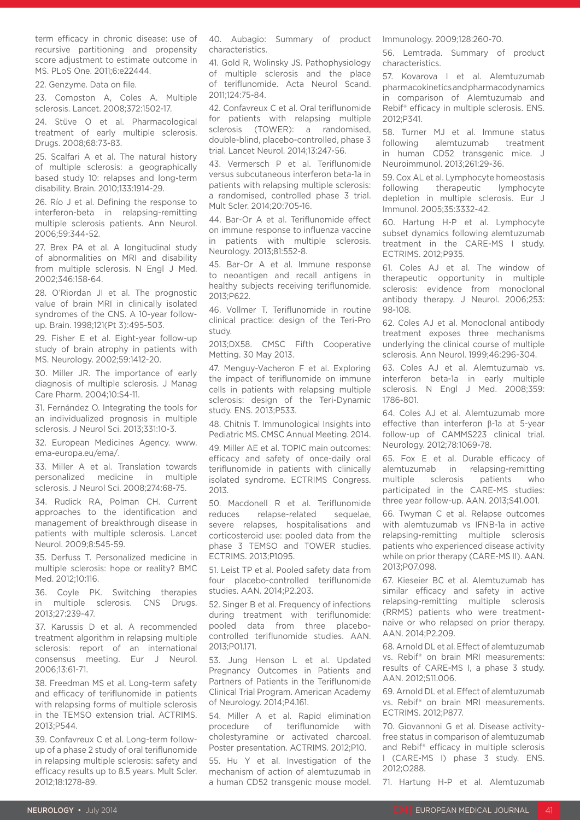term efficacy in chronic disease: use of recursive partitioning and propensity score adjustment to estimate outcome in MS. PLoS One. 2011;6:e22444.

22. Genzyme. Data on file.

23. Compston A, Coles A. Multiple sclerosis. Lancet. 2008;372:1502-17.

24. Stüve O et al. Pharmacological treatment of early multiple sclerosis. Drugs. 2008;68:73-83.

25. Scalfari A et al. The natural history of multiple sclerosis: a geographically based study 10: relapses and long-term disability. Brain. 2010;133:1914-29.

26. Río J et al. Defining the response to interferon-beta in relapsing-remitting multiple sclerosis patients. Ann Neurol. 2006;59:344-52.

27. Brex PA et al. A longitudinal study of abnormalities on MRI and disability from multiple sclerosis. N Engl J Med. 2002;346:158-64.

28. O'Riordan JI et al. The prognostic value of brain MRI in clinically isolated syndromes of the CNS. A 10-year followup. Brain. 1998;121(Pt 3):495-503.

29. Fisher E et al. Eight-year follow-up study of brain atrophy in patients with MS. Neurology. 2002;59:1412-20.

30. Miller JR. The importance of early diagnosis of multiple sclerosis. J Manag Care Pharm. 2004;10:S4-11.

31. Fernández O. Integrating the tools for an individualized prognosis in multiple sclerosis. J Neurol Sci. 2013;331:10-3.

32. European Medicines Agency. www. ema-europa.eu/ema/.

33. Miller A et al. Translation towards personalized medicine in multiple sclerosis. J Neurol Sci. 2008;274:68-75.

34. Rudick RA, Polman CH. Current approaches to the identification and management of breakthrough disease in patients with multiple sclerosis. Lancet Neurol. 2009;8:545-59.

35. Derfuss T. Personalized medicine in multiple sclerosis: hope or reality? BMC Med. 2012;10:116.

36. Coyle PK. Switching therapies in multiple sclerosis. CNS Drugs. 2013;27:239-47.

37. Karussis D et al. A recommended treatment algorithm in relapsing multiple sclerosis: report of an international consensus meeting. Eur J Neurol. 2006;13:61-71.

38. Freedman MS et al. Long-term safety and efficacy of teriflunomide in patients with relapsing forms of multiple sclerosis in the TEMSO extension trial. ACTRIMS. 2013;P544.

39. Confavreux C et al. Long-term followup of a phase 2 study of oral teriflunomide in relapsing multiple sclerosis: safety and efficacy results up to 8.5 years. Mult Scler. 2012;18:1278-89.

40. Aubagio: Summary of product characteristics.

41. Gold R, Wolinsky JS. Pathophysiology of multiple sclerosis and the place of teriflunomide. Acta Neurol Scand. 2011;124:75-84.

42. Confavreux C et al. Oral teriflunomide for patients with relapsing multiple sclerosis (TOWER): a randomised, double-blind, placebo-controlled, phase 3 trial. Lancet Neurol. 2014;13:247-56.

43. Vermersch P et al. Teriflunomide versus subcutaneous interferon beta-1a in patients with relapsing multiple sclerosis: a randomised, controlled phase 3 trial. Mult Scler. 2014;20:705-16.

44. Bar-Or A et al. Teriflunomide effect on immune response to influenza vaccine in patients with multiple sclerosis. Neurology. 2013;81:552-8.

45. Bar-Or A et al. Immune response to neoantigen and recall antigens in healthy subjects receiving teriflunomide. 2013;P622.

46. Vollmer T. Teriflunomide in routine clinical practice: design of the Teri-Pro study.

2013;DX58. CMSC Fifth Cooperative Metting. 30 May 2013.

47. Menguy-Vacheron F et al. Exploring the impact of teriflunomide on immune cells in patients with relapsing multiple sclerosis: design of the Teri-Dynamic study. ENS. 2013;P533.

48. Chitnis T. Immunological Insights into Pediatric MS. CMSC Annual Meeting. 2014.

49. Miller AE et al. TOPIC main outcomes: efficacy and safety of once-daily oral teriflunomide in patients with clinically isolated syndrome. ECTRIMS Congress. 2013.

50. Macdonell R et al. Teriflunomide reduces relapse-related sequelae, severe relapses, hospitalisations and corticosteroid use: pooled data from the phase 3 TEMSO and TOWER studies. ECTRIMS. 2013;P1095.

51. Leist TP et al. Pooled safety data from four placebo-controlled teriflunomide studies. AAN. 2014;P2.203.

52. Singer B et al. Frequency of infections during treatment with teriflunomide: pooled data from three placebocontrolled teriflunomide studies. AAN. 2013;P01.171.

53. Jung Henson L et al. Updated Pregnancy Outcomes in Patients and Partners of Patients in the Teriflunomide Clinical Trial Program. American Academy of Neurology. 2014;P4.161.

54. Miller A et al. Rapid elimination procedure of teriflunomide with cholestyramine or activated charcoal. Poster presentation. ACTRIMS. 2012;P10.

55. Hu Y et al. Investigation of the mechanism of action of alemtuzumab in a human CD52 transgenic mouse model. Immunology. 2009;128:260-70.

56. Lemtrada. Summary of product characteristics.

57. Kovarova I et al. Alemtuzumab pharmacokinetics and pharmacodynamics in comparison of Alemtuzumab and Rebif® efficacy in multiple sclerosis. ENS. 2012;P341.

58. Turner MJ et al. Immune status following alemtuzumab treatment in human CD52 transgenic mice. J Neuroimmunol. 2013;261:29-36.

59. Cox AL et al. Lymphocyte homeostasis following therapeutic lymphocyte depletion in multiple sclerosis. Eur J Immunol. 2005;35:3332-42.

60. Hartung H-P et al. Lymphocyte subset dynamics following alemtuzumab treatment in the CARE-MS I study. ECTRIMS. 2012;P935.

61. Coles AJ et al. The window of therapeutic opportunity in multiple sclerosis: evidence from monoclonal antibody therapy. J Neurol. 2006;253: 98-108.

62. Coles AJ et al. Monoclonal antibody treatment exposes three mechanisms underlying the clinical course of multiple sclerosis. Ann Neurol. 1999;46:296-304.

63. Coles AJ et al. Alemtuzumab vs. interferon beta-1a in early multiple sclerosis. N Engl J Med. 2008;359: 1786-801.

64. Coles AJ et al. Alemtuzumab more effective than interferon β-1a at 5-year follow-up of CAMMS223 clinical trial. Neurology. 2012;78:1069-78.

65. Fox E et al. Durable efficacy of alemtuzumab in relapsing-remitting multiple sclerosis patients who participated in the CARE-MS studies: three year follow-up. AAN. 2013;S41.001.

66. Twyman C et al. Relapse outcomes with alemtuzumab vs IFNB-1a in active relapsing-remitting multiple sclerosis patients who experienced disease activity while on prior therapy (CARE-MS II). AAN. 2013;P07.098.

67. Kieseier BC et al. Alemtuzumab has similar efficacy and safety in active relapsing-remitting multiple sclerosis (RRMS) patients who were treatmentnaive or who relapsed on prior therapy. AAN. 2014;P2.209.

68. Arnold DL et al. Effect of alemtuzumab vs. Rebif® on brain MRI measurements: results of CARE-MS I, a phase 3 study. AAN. 2012;S11.006.

69. Arnold DL et al. Effect of alemtuzumab vs. Rebif® on brain MRI measurements. ECTRIMS. 2012;P877.

70. Giovannoni G et al. Disease activityfree status in comparison of alemtuzumab and Rebif® efficacy in multiple sclerosis I (CARE-MS I) phase 3 study. ENS. 2012;O288.

71. Hartung H-P et al. Alemtuzumab